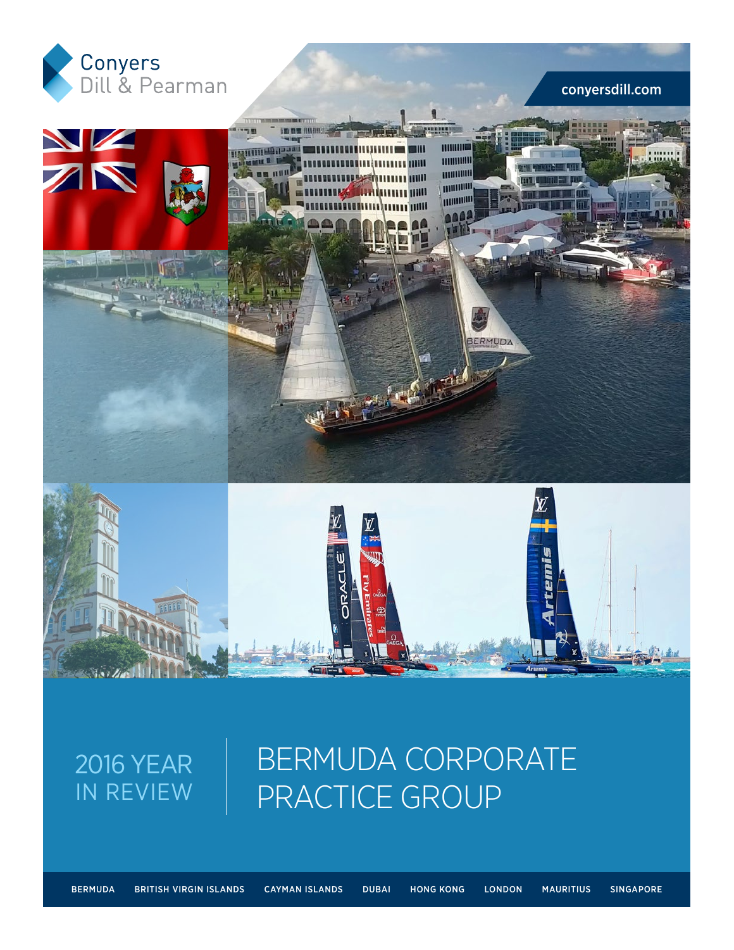

### conyersdill.com



## 2016 YEAR IN REVIEW

## BERMUDA CORPORATE PRACTICE GROUP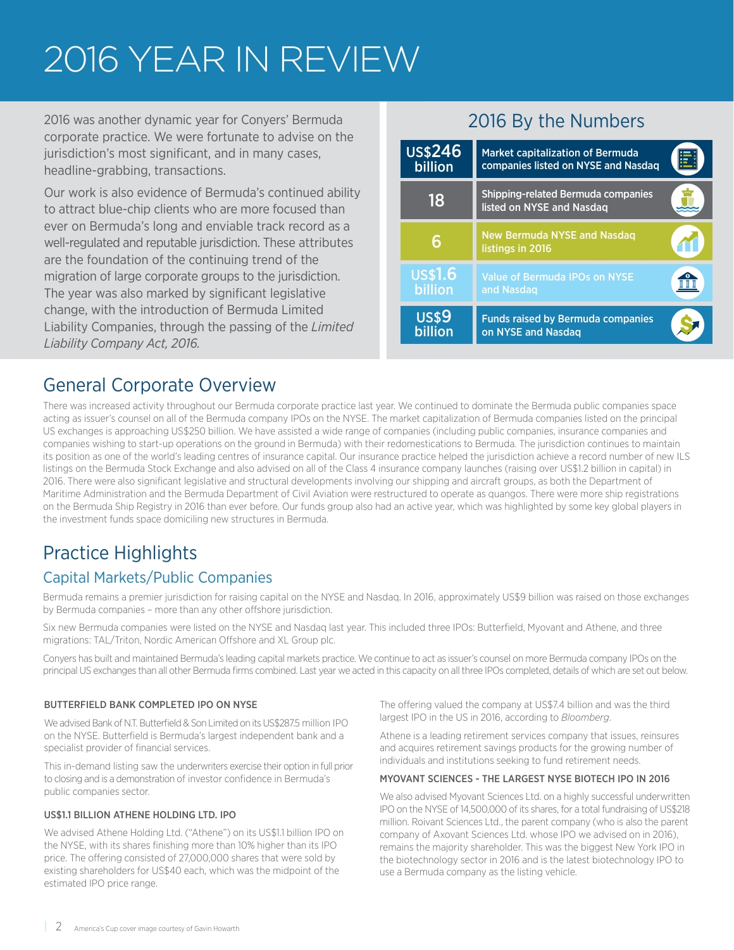## 2016 YEAR IN REVIEW

2016 was another dynamic year for Conyers' Bermuda corporate practice. We were fortunate to advise on the jurisdiction's most significant, and in many cases, headline-grabbing, transactions.

Our work is also evidence of Bermuda's continued ability to attract blue-chip clients who are more focused than ever on Bermuda's long and enviable track record as a well-regulated and reputable jurisdiction. These attributes are the foundation of the continuing trend of the migration of large corporate groups to the jurisdiction. The year was also marked by significant legislative change, with the introduction of Bermuda Limited Liability Companies, through the passing of the *Limited Liability Company Act, 2016.*

## 2016 By the Numbers

| <b>US\$246</b><br>billion | <b>Market capitalization of Bermuda</b><br>companies listed on NYSE and Nasdag |  |
|---------------------------|--------------------------------------------------------------------------------|--|
| 18                        | <b>Shipping-related Bermuda companies</b><br>listed on NYSE and Nasdaq         |  |
|                           | <b>New Bermuda NYSE and Nasdag</b><br>listings in 2016                         |  |
| <b>US\$1.6</b><br>billion | <b>Value of Bermuda IPOs on NYSE</b><br>and Nasdag                             |  |
| <b>US\$9</b><br>billion   | <b>Funds raised by Bermuda companies</b><br>on NYSE and Nasdag                 |  |

## General Corporate Overview

There was increased activity throughout our Bermuda corporate practice last year. We continued to dominate the Bermuda public companies space acting as issuer's counsel on all of the Bermuda company IPOs on the NYSE. The market capitalization of Bermuda companies listed on the principal US exchanges is approaching US\$250 billion. We have assisted a wide range of companies (including public companies, insurance companies and companies wishing to start-up operations on the ground in Bermuda) with their redomestications to Bermuda. The jurisdiction continues to maintain its position as one of the world's leading centres of insurance capital. Our insurance practice helped the jurisdiction achieve a record number of new ILS listings on the Bermuda Stock Exchange and also advised on all of the Class 4 insurance company launches (raising over US\$1.2 billion in capital) in 2016. There were also significant legislative and structural developments involving our shipping and aircraft groups, as both the Department of Maritime Administration and the Bermuda Department of Civil Aviation were restructured to operate as quangos. There were more ship registrations on the Bermuda Ship Registry in 2016 than ever before. Our funds group also had an active year, which was highlighted by some key global players in the investment funds space domiciling new structures in Bermuda.

## Practice Highlights

### Capital Markets/Public Companies

Bermuda remains a premier jurisdiction for raising capital on the NYSE and Nasdaq. In 2016, approximately US\$9 billion was raised on those exchanges by Bermuda companies – more than any other offshore jurisdiction.

Six new Bermuda companies were listed on the NYSE and Nasdaq last year. This included three IPOs: Butterfield, Myovant and Athene, and three migrations: TAL/Triton, Nordic American Offshore and XL Group plc.

Conyers has built and maintained Bermuda's leading capital markets practice. We continue to act as issuer's counsel on more Bermuda company IPOs on the principal US exchanges than all other Bermuda firms combined. Last year we acted in this capacity on all three IPOs completed, details of which are set out below.

#### BUTTERFIELD BANK COMPLETED IPO ON NYSE

We advised Bank of N.T. Butterfield & Son Limited on its US\$287.5 million IPO on the NYSE. Butterfield is Bermuda's largest independent bank and a specialist provider of financial services.

This in-demand listing saw the underwriters exercise their option in full prior to closing and is a demonstration of investor confidence in Bermuda's public companies sector.

#### US\$1.1 BILLION ATHENE HOLDING LTD. IPO

We advised Athene Holding Ltd. ("Athene") on its US\$1.1 billion IPO on the NYSE, with its shares finishing more than 10% higher than its IPO price. The offering consisted of 27,000,000 shares that were sold by existing shareholders for US\$40 each, which was the midpoint of the estimated IPO price range.

The offering valued the company at US\$7.4 billion and was the third largest IPO in the US in 2016, according to *Bloomberg*.

Athene is a leading retirement services company that issues, reinsures and acquires retirement savings products for the growing number of individuals and institutions seeking to fund retirement needs.

#### MYOVANT SCIENCES - THE LARGEST NYSE BIOTECH IPO IN 2016

We also advised Myovant Sciences Ltd. on a highly successful underwritten IPO on the NYSE of 14,500,000 of its shares, for a total fundraising of US\$218 million. Roivant Sciences Ltd., the parent company (who is also the parent company of Axovant Sciences Ltd. whose IPO we advised on in 2016), remains the majority shareholder. This was the biggest New York IPO in the biotechnology sector in 2016 and is the latest biotechnology IPO to use a Bermuda company as the listing vehicle.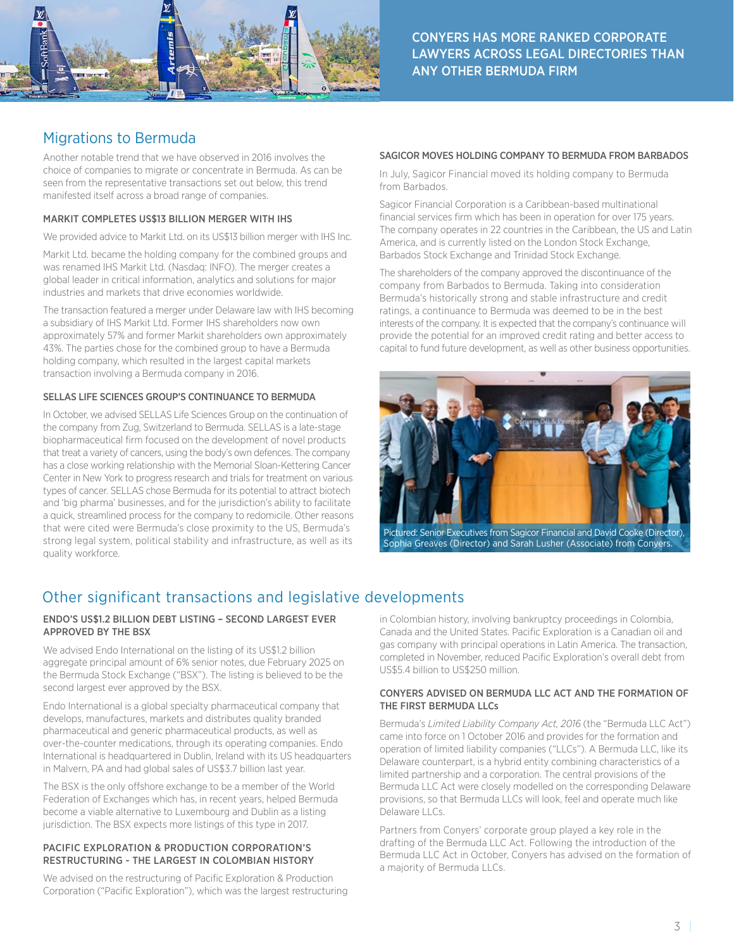

### Migrations to Bermuda

Another notable trend that we have observed in 2016 involves the choice of companies to migrate or concentrate in Bermuda. As can be seen from the representative transactions set out below, this trend manifested itself across a broad range of companies.

#### MARKIT COMPLETES US\$13 BILLION MERGER WITH IHS

We provided advice to Markit Ltd. on its US\$13 billion merger with IHS Inc.

Markit Ltd. became the holding company for the combined groups and was renamed IHS Markit Ltd. (Nasdaq: INFO). The merger creates a global leader in critical information, analytics and solutions for major industries and markets that drive economies worldwide.

The transaction featured a merger under Delaware law with IHS becoming a subsidiary of IHS Markit Ltd. Former IHS shareholders now own approximately 57% and former Markit shareholders own approximately 43%. The parties chose for the combined group to have a Bermuda holding company, which resulted in the largest capital markets transaction involving a Bermuda company in 2016.

#### SELLAS LIFE SCIENCES GROUP'S CONTINUANCE TO BERMUDA

In October, we advised SELLAS Life Sciences Group on the continuation of the company from Zug, Switzerland to Bermuda. SELLAS is a late-stage biopharmaceutical firm focused on the development of novel products that treat a variety of cancers, using the body's own defences. The company has a close working relationship with the Memorial Sloan-Kettering Cancer Center in New York to progress research and trials for treatment on various types of cancer. SELLAS chose Bermuda for its potential to attract biotech and 'big pharma' businesses, and for the jurisdiction's ability to facilitate a quick, streamlined process for the company to redomicile. Other reasons that were cited were Bermuda's close proximity to the US, Bermuda's strong legal system, political stability and infrastructure, as well as its quality workforce.

#### SAGICOR MOVES HOLDING COMPANY TO BERMUDA FROM BARBADOS

In July, Sagicor Financial moved its holding company to Bermuda from Barbados.

Sagicor Financial Corporation is a Caribbean-based multinational financial services firm which has been in operation for over 175 years. The company operates in 22 countries in the Caribbean, the US and Latin America, and is currently listed on the London Stock Exchange, Barbados Stock Exchange and Trinidad Stock Exchange.

The shareholders of the company approved the discontinuance of the company from Barbados to Bermuda. Taking into consideration Bermuda's historically strong and stable infrastructure and credit ratings, a continuance to Bermuda was deemed to be in the best interests of the company. It is expected that the company's continuance will provide the potential for an improved credit rating and better access to capital to fund future development, as well as other business opportunities.



Pictured: Senior Executives from Sagicor Financial and David Cooke (Director), Sophia Greaves (Director) and Sarah Lusher (Associate) from Conyers.

### Other significant transactions and legislative developments

#### ENDO'S US\$1.2 BILLION DEBT LISTING – SECOND LARGEST EVER APPROVED BY THE BSX

We advised Endo International on the listing of its US\$1.2 billion aggregate principal amount of 6% senior notes, due February 2025 on the Bermuda Stock Exchange ("BSX"). The listing is believed to be the second largest ever approved by the BSX.

Endo International is a global specialty pharmaceutical company that develops, manufactures, markets and distributes quality branded pharmaceutical and generic pharmaceutical products, as well as over-the-counter medications, through its operating companies. Endo International is headquartered in Dublin, Ireland with its US headquarters in Malvern, PA and had global sales of US\$3.7 billion last year.

The BSX is the only offshore exchange to be a member of the World Federation of Exchanges which has, in recent years, helped Bermuda become a viable alternative to Luxembourg and Dublin as a listing jurisdiction. The BSX expects more listings of this type in 2017.

#### PACIFIC EXPLORATION & PRODUCTION CORPORATION'S RESTRUCTURING - THE LARGEST IN COLOMBIAN HISTORY

We advised on the restructuring of Pacific Exploration & Production Corporation ("Pacific Exploration"), which was the largest restructuring in Colombian history, involving bankruptcy proceedings in Colombia, Canada and the United States. Pacific Exploration is a Canadian oil and gas company with principal operations in Latin America. The transaction, completed in November, reduced Pacific Exploration's overall debt from US\$5.4 billion to US\$250 million.

#### CONYERS ADVISED ON BERMUDA LLC ACT AND THE FORMATION OF THE FIRST BERMUDA LLCs

Bermuda's *Limited Liability Company Act, 2016* (the "Bermuda LLC Act") came into force on 1 October 2016 and provides for the formation and operation of limited liability companies ("LLCs"). A Bermuda LLC, like its Delaware counterpart, is a hybrid entity combining characteristics of a limited partnership and a corporation. The central provisions of the Bermuda LLC Act were closely modelled on the corresponding Delaware provisions, so that Bermuda LLCs will look, feel and operate much like Delaware LLCs.

Partners from Conyers' corporate group played a key role in the drafting of the Bermuda LLC Act. Following the introduction of the Bermuda LLC Act in October, Conyers has advised on the formation of a majority of Bermuda LLCs.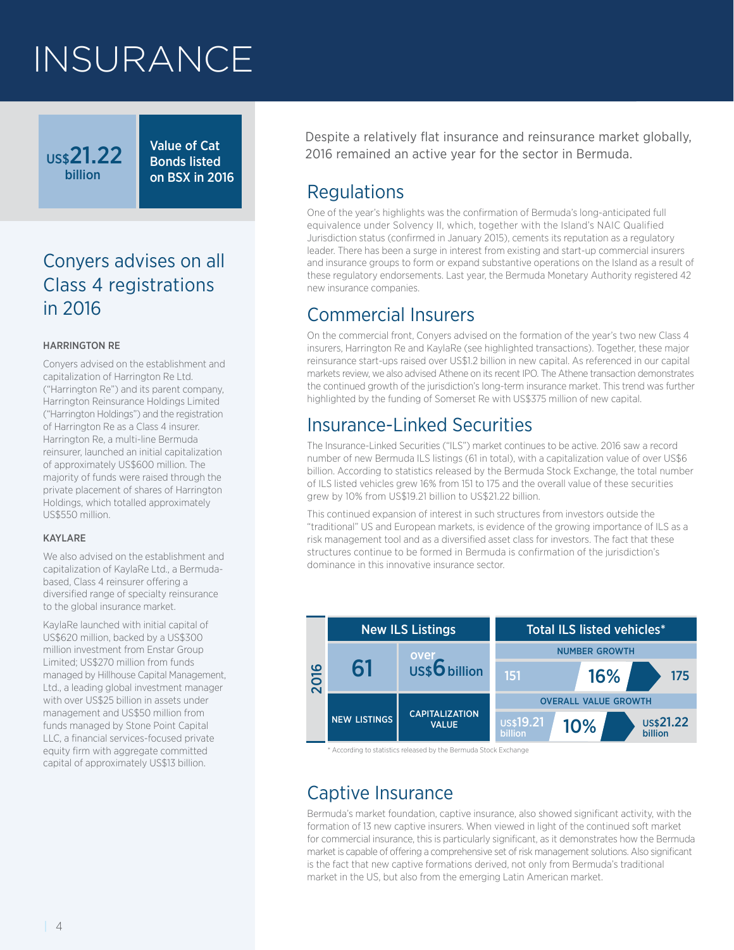## INSURANCE

Value of Cat Bonds listed on BSX in 2016

## Conyers advises on all Class 4 registrations in 2016

#### HARRINGTON RE

US\$21.22 billion

Conyers advised on the establishment and capitalization of Harrington Re Ltd. ("Harrington Re") and its parent company, Harrington Reinsurance Holdings Limited ("Harrington Holdings") and the registration of Harrington Re as a Class 4 insurer. Harrington Re, a multi-line Bermuda reinsurer, launched an initial capitalization of approximately US\$600 million. The majority of funds were raised through the private placement of shares of Harrington Holdings, which totalled approximately US\$550 million.

#### KAYLARE

We also advised on the establishment and capitalization of KaylaRe Ltd., a Bermudabased, Class 4 reinsurer offering a diversified range of specialty reinsurance to the global insurance market.

KaylaRe launched with initial capital of US\$620 million, backed by a US\$300 million investment from Enstar Group Limited; US\$270 million from funds managed by Hillhouse Capital Management, Ltd., a leading global investment manager with over US\$25 billion in assets under management and US\$50 million from funds managed by Stone Point Capital LLC, a financial services-focused private equity firm with aggregate committed capital of approximately US\$13 billion.

Despite a relatively flat insurance and reinsurance market globally, 2016 remained an active year for the sector in Bermuda.

## **Requlations**

One of the year's highlights was the confirmation of Bermuda's long-anticipated full equivalence under Solvency II, which, together with the Island's NAIC Qualified Jurisdiction status (confirmed in January 2015), cements its reputation as a regulatory leader. There has been a surge in interest from existing and start-up commercial insurers and insurance groups to form or expand substantive operations on the Island as a result of these regulatory endorsements. Last year, the Bermuda Monetary Authority registered 42 new insurance companies.

## Commercial Insurers

On the commercial front, Conyers advised on the formation of the year's two new Class 4 insurers, Harrington Re and KaylaRe (see highlighted transactions). Together, these major reinsurance start-ups raised over US\$1.2 billion in new capital. As referenced in our capital markets review, we also advised Athene on its recent IPO. The Athene transaction demonstrates the continued growth of the jurisdiction's long-term insurance market. This trend was further highlighted by the funding of Somerset Re with US\$375 million of new capital.

## Insurance-Linked Securities

The Insurance-Linked Securities ("ILS") market continues to be active. 2016 saw a record number of new Bermuda ILS listings (61 in total), with a capitalization value of over US\$6 billion. According to statistics released by the Bermuda Stock Exchange, the total number of ILS listed vehicles grew 16% from 151 to 175 and the overall value of these securities grew by 10% from US\$19.21 billion to US\$21.22 billion.

This continued expansion of interest in such structures from investors outside the "traditional" US and European markets, is evidence of the growing importance of ILS as a risk management tool and as a diversified asset class for investors. The fact that these structures continue to be formed in Bermuda is confirmation of the jurisdiction's dominance in this innovative insurance sector.



\* According to statistics released by the Bermuda Stock Exchange

## Captive Insurance

Bermuda's market foundation, captive insurance, also showed significant activity, with the formation of 13 new captive insurers. When viewed in light of the continued soft market for commercial insurance, this is particularly significant, as it demonstrates how the Bermuda market is capable of offering a comprehensive set of risk management solutions. Also significant is the fact that new captive formations derived, not only from Bermuda's traditional market in the US, but also from the emerging Latin American market.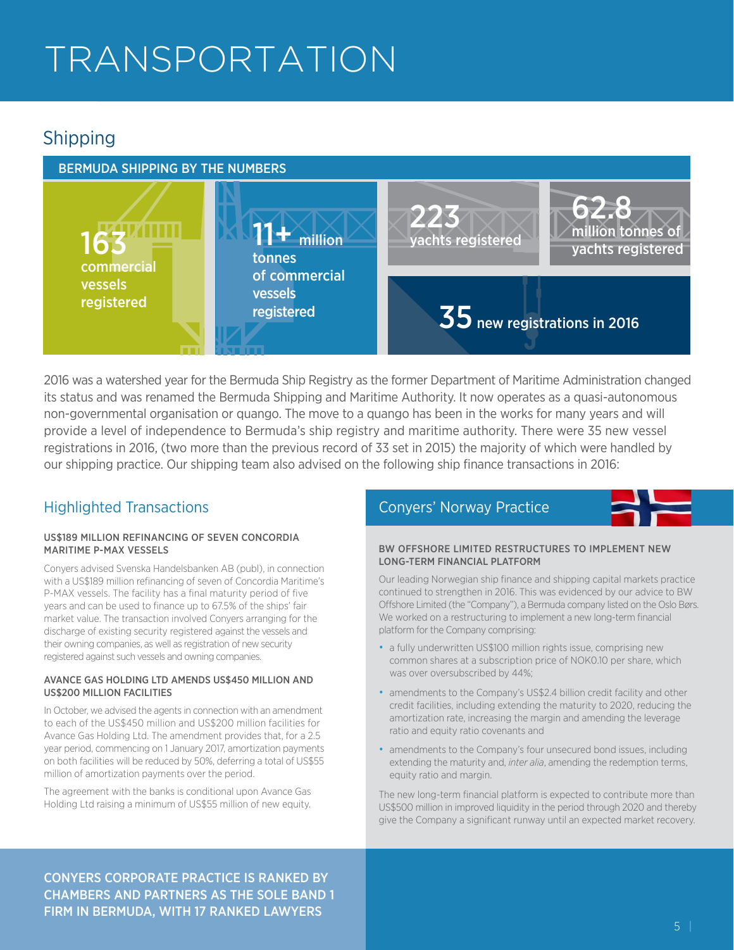## TRANSPORTATION

## **Shipping**

#### BERMUDA SHIPPING BY THE NUMBERS



2016 was a watershed year for the Bermuda Ship Registry as the former Department of Maritime Administration changed its status and was renamed the Bermuda Shipping and Maritime Authority. It now operates as a quasi-autonomous non-governmental organisation or quango. The move to a quango has been in the works for many years and will provide a level of independence to Bermuda's ship registry and maritime authority. There were 35 new vessel registrations in 2016, (two more than the previous record of 33 set in 2015) the majority of which were handled by our shipping practice. Our shipping team also advised on the following ship finance transactions in 2016:

#### US\$189 MILLION REFINANCING OF SEVEN CONCORDIA MARITIME P-MAX VESSELS

Conyers advised Svenska Handelsbanken AB (publ), in connection with a US\$189 million refinancing of seven of Concordia Maritime's P-MAX vessels. The facility has a final maturity period of five years and can be used to finance up to 67.5% of the ships' fair market value. The transaction involved Conyers arranging for the discharge of existing security registered against the vessels and their owning companies, as well as registration of new security registered against such vessels and owning companies.

#### AVANCE GAS HOLDING LTD AMENDS US\$450 MILLION AND US\$200 MILLION FACILITIES

In October, we advised the agents in connection with an amendment to each of the US\$450 million and US\$200 million facilities for Avance Gas Holding Ltd. The amendment provides that, for a 2.5 year period, commencing on 1 January 2017, amortization payments on both facilities will be reduced by 50%, deferring a total of US\$55 million of amortization payments over the period.

The agreement with the banks is conditional upon Avance Gas Holding Ltd raising a minimum of US\$55 million of new equity.

### Highlighted Transactions **Conyers' Norway Practice**



#### BW OFFSHORE LIMITED RESTRUCTURES TO IMPLEMENT NEW LONG-TERM FINANCIAL PLATFORM

Our leading Norwegian ship finance and shipping capital markets practice continued to strengthen in 2016. This was evidenced by our advice to BW Offshore Limited (the "Company"), a Bermuda company listed on the Oslo Børs. We worked on a restructuring to implement a new long-term financial platform for the Company comprising:

- a fully underwritten US\$100 million rights issue, comprising new common shares at a subscription price of NOK0.10 per share, which was over oversubscribed by 44%;
- amendments to the Company's US\$2.4 billion credit facility and other credit facilities, including extending the maturity to 2020, reducing the amortization rate, increasing the margin and amending the leverage ratio and equity ratio covenants and
- amendments to the Company's four unsecured bond issues, including extending the maturity and, *inter alia*, amending the redemption terms, equity ratio and margin.

The new long-term financial platform is expected to contribute more than US\$500 million in improved liquidity in the period through 2020 and thereby give the Company a significant runway until an expected market recovery.

CONYERS CORPORATE PRACTICE IS RANKED BY CHAMBERS AND PARTNERS AS THE SOLE BAND 1 FIRM IN BERMUDA, WITH 17 RANKED LAWYERS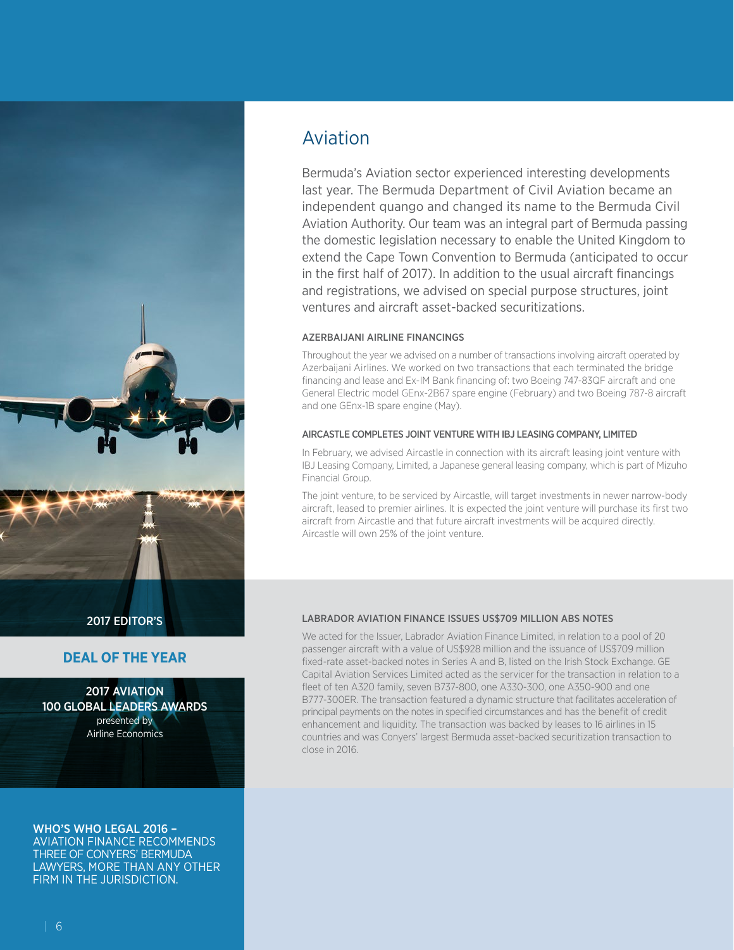

#### **DEAL OF THE YEAR**

2017 AVIATION presented by Airline Economics 100 GLOBAL LEADERS AWARDS

WHO'S WHO LEGAL 2016 – AVIATION FINANCE RECOMMENDS THREE OF CONYERS' BERMUDA LAWYERS, MORE THAN ANY OTHER FIRM IN THE JURISDICTION.

## Aviation

Bermuda's Aviation sector experienced interesting developments last year. The Bermuda Department of Civil Aviation became an independent quango and changed its name to the Bermuda Civil Aviation Authority. Our team was an integral part of Bermuda passing the domestic legislation necessary to enable the United Kingdom to extend the Cape Town Convention to Bermuda (anticipated to occur in the first half of 2017). In addition to the usual aircraft financings and registrations, we advised on special purpose structures, joint ventures and aircraft asset-backed securitizations.

#### AZERBAIJANI AIRLINE FINANCINGS

Throughout the year we advised on a number of transactions involving aircraft operated by Azerbaijani Airlines. We worked on two transactions that each terminated the bridge financing and lease and Ex-IM Bank financing of: two Boeing 747-83QF aircraft and one General Electric model GEnx-2B67 spare engine (February) and two Boeing 787-8 aircraft and one GEnx-1B spare engine (May).

#### AIRCASTLE COMPLETES JOINT VENTURE WITH IBJ LEASING COMPANY, LIMITED

In February, we advised Aircastle in connection with its aircraft leasing joint venture with IBJ Leasing Company, Limited, a Japanese general leasing company, which is part of Mizuho Financial Group.

The joint venture, to be serviced by Aircastle, will target investments in newer narrow-body aircraft, leased to premier airlines. It is expected the joint venture will purchase its first two aircraft from Aircastle and that future aircraft investments will be acquired directly. Aircastle will own 25% of the joint venture.

#### LABRADOR AVIATION FINANCE ISSUES US\$709 MILLION ABS NOTES

We acted for the Issuer, Labrador Aviation Finance Limited, in relation to a pool of 20 passenger aircraft with a value of US\$928 million and the issuance of US\$709 million fixed-rate asset-backed notes in Series A and B, listed on the Irish Stock Exchange. GE Capital Aviation Services Limited acted as the servicer for the transaction in relation to a fleet of ten A320 family, seven B737-800, one A330-300, one A350-900 and one B777-300ER. The transaction featured a dynamic structure that facilitates acceleration of principal payments on the notes in specified circumstances and has the benefit of credit enhancement and liquidity. The transaction was backed by leases to 16 airlines in 15 countries and was Conyers' largest Bermuda asset-backed securitization transaction to close in 2016.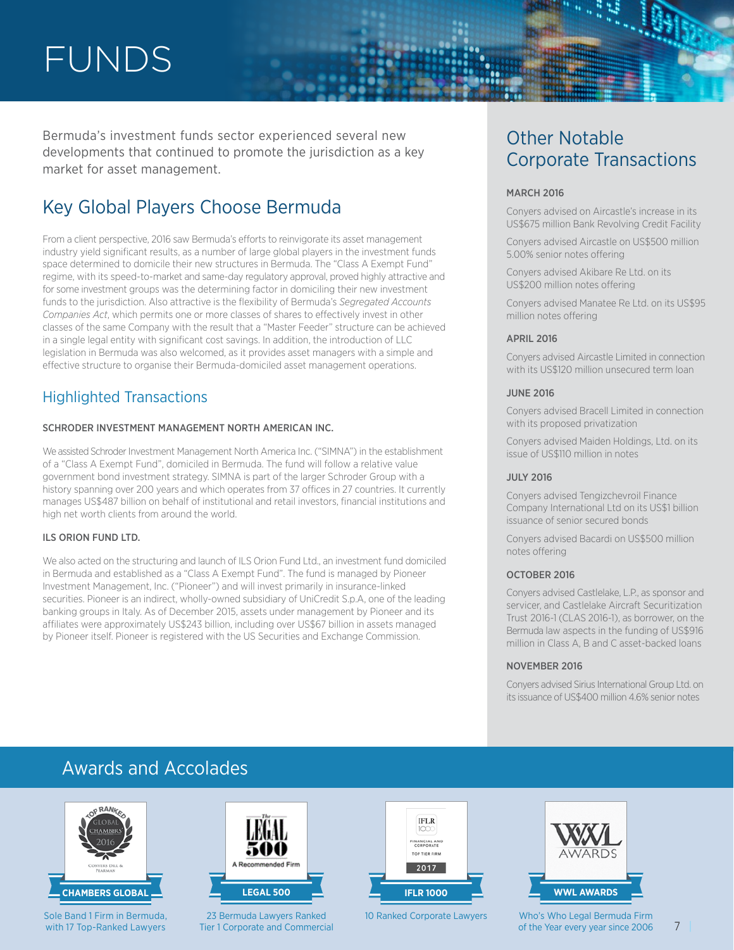## FUNDS

Bermuda's investment funds sector experienced several new developments that continued to promote the jurisdiction as a key market for asset management.

## Key Global Players Choose Bermuda

From a client perspective, 2016 saw Bermuda's efforts to reinvigorate its asset management industry yield significant results, as a number of large global players in the investment funds space determined to domicile their new structures in Bermuda. The "Class A Exempt Fund" regime, with its speed-to-market and same-day regulatory approval, proved highly attractive and for some investment groups was the determining factor in domiciling their new investment funds to the jurisdiction. Also attractive is the flexibility of Bermuda's *Segregated Accounts Companies Act*, which permits one or more classes of shares to effectively invest in other classes of the same Company with the result that a "Master Feeder" structure can be achieved in a single legal entity with significant cost savings. In addition, the introduction of LLC legislation in Bermuda was also welcomed, as it provides asset managers with a simple and effective structure to organise their Bermuda-domiciled asset management operations.

### Highlighted Transactions

#### SCHRODER INVESTMENT MANAGEMENT NORTH AMERICAN INC.

We assisted Schroder Investment Management North America Inc. ("SIMNA") in the establishment of a "Class A Exempt Fund", domiciled in Bermuda. The fund will follow a relative value government bond investment strategy. SIMNA is part of the larger Schroder Group with a history spanning over 200 years and which operates from 37 offices in 27 countries. It currently manages US\$487 billion on behalf of institutional and retail investors, financial institutions and high net worth clients from around the world.

#### ILS ORION FUND LTD.

We also acted on the structuring and launch of ILS Orion Fund Ltd., an investment fund domiciled in Bermuda and established as a "Class A Exempt Fund". The fund is managed by Pioneer Investment Management, Inc. ("Pioneer") and will invest primarily in insurance-linked securities. Pioneer is an indirect, wholly-owned subsidiary of UniCredit S.p.A, one of the leading banking groups in Italy. As of December 2015, assets under management by Pioneer and its affiliates were approximately US\$243 billion, including over US\$67 billion in assets managed by Pioneer itself. Pioneer is registered with the US Securities and Exchange Commission.

# Corporate Transactions

#### **MARCH 2016**

Conyers advised on Aircastle's increase in its US\$675 million Bank Revolving Credit Facility

Conyers advised Aircastle on US\$500 million 5.00% senior notes offering

Conyers advised Akibare Re Ltd. on its US\$200 million notes offering

Conyers advised Manatee Re Ltd. on its US\$95 million notes offering

#### APRIL 2016

Conyers advised Aircastle Limited in connection with its US\$120 million unsecured term loan

#### JUNE 2016

Conyers advised Bracell Limited in connection with its proposed privatization

Conyers advised Maiden Holdings, Ltd. on its issue of US\$110 million in notes

#### JULY 2016

Conyers advised Tengizchevroil Finance Company International Ltd on its US\$1 billion issuance of senior secured bonds

Conyers advised Bacardi on US\$500 million notes offering

#### OCTOBER 2016

Conyers advised Castlelake, L.P., as sponsor and servicer, and Castlelake Aircraft Securitization Trust 2016-1 (CLAS 2016-1), as borrower, on the Bermuda law aspects in the funding of US\$916 million in Class A, B and C asset-backed loans

#### NOVEMBER 2016

Conyers advised Sirius International Group Ltd. on its issuance of US\$400 million 4.6% senior notes

## Awards and Accolades



Sole Band 1 Firm in Bermuda, with 17 Top-Ranked Lawyers



23 Bermuda Lawyers Ranked Tier 1 Corporate and Commercial



10 Ranked Corporate Lawyers



Who's Who Legal Bermuda Firm of the Year every year since 2006

7 |